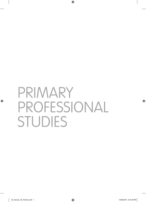# PRIMARY PROFESSIONAL STUDIES

 $\bigoplus$ 

 $\bigoplus$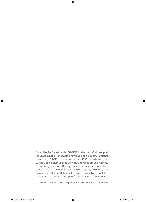Sara Miller McCune founded SAGE Publishing in 1965 to support the dissemination of usable knowledge and educate a global community. SAGE publishes more than 1000 journals and over 800 new books each year, spanning a wide range of subject areas. Our growing selection of library products includes archives, data, case studies and video. SAGE remains majority owned by our founder and after her lifetime will become owned by a charitable trust that secures the company's continued independence.

 $\bigoplus$ 

Los Angeles | London | New Delhi | Singapore | Washington DC | Melbourne

⊕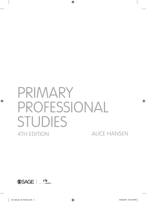## PRIMARY PROFESSIONAL STUDIES **ALICE HANSEN 4TH EDITION**

 $\bigoplus$ 



⊕



♠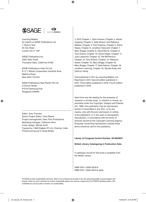



⊕

Learning Matters An imprint of SAGE Publications Ltd 1 Oliver's Yard 55 City Road London EC1Y 1SP

SAGE Publications Inc. 2455 Teller Road Thousand Oaks, California 91320

SAGE Publications India Pvt Ltd B 1/I 1 Mohan Cooperative Industrial Area Mathura Road New Delhi 110 044

SAGE Publications Asia-Pacific Pte Ltd 3 Church Street #10-04 Samsung Hub Singapore 049483

Editor: Amy Thornton Senior Project Editor: Chris Marke Project management: Deer Park Productions Marketing manager: Catherine Slinn Cover design: Wendy Scott Typeset by: C&M Digitals (P) Ltd, Chennai, India Printed and bound in Great Britain

 2015 Chapter 1, Alice Hansen; Chapter 2, Adrian Copping; Chapter 3, Sally Neaum and Rebecca Walters; Chapter 4, Paul Hopkins; Chapter 5, Denis Hayes; Chapter 6, Jonathan Glazzard; Chapter 7, Mary Briggs; Chapter 8, David Morris; Chapter 9, Tony Ewens; Chapter 10, Denis Hayes; Chapter 11, Julia Lawrence; Chapter 12, Pat McPherson; Chapter 13, Tony Ewens; Chapter 14, Rebecca Austin; Chapter 15, Mary Briggs; Chapter 16, Mary Briggs; Chapter 17, Kate Adams; Chapter 18, Jonathan Leeming; Chapter 19, Sandra Eady and Cathryn Hardy

First published in 2011 by Learning Matters Ltd. Reprinted in 2011. Second edition published in 2012. Third edition published in 2015. Fourth edition published in 2018.

Apart from any fair dealing for the purposes of research or private study, or criticism or review, as permitted under the Copyright, Designs and Patents Act, 1988, this publication may be reproduced, stored or transmitted in any form, or by any means, only with the prior permission in writing of the publishers, or in the case of reprographic reproduction, in accordance with the terms of licences issued by the Copyright Licensing Agency. Enquiries concerning reproduction outside those terms should be sent to the publishers.

#### **Library of Congress Control Number: 2018939031**

**British Library Cataloguing in Publication Data**

A catalogue record for this book is available from the British Library

ISBN 978-1-5264-2818-9 ISBN 978-1-5264-2819-6 (pbk)

At SAGE we take sustainability seriously. Most of our products are printed in the UK using responsibly sourced papers and boards. When we print overseas we ensure sustainable papers are used as measured by the PREPS grading system. We undertake an annual audit to monitor our sustainability.

⊕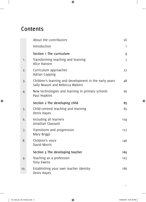## **Contents**

 $\overline{\phantom{a}}$ 

 $\bigoplus$ 

|     | About the contributors                                                                    | vii            |
|-----|-------------------------------------------------------------------------------------------|----------------|
|     | Introduction                                                                              | 1              |
|     | Section 1 The curriculum                                                                  | 5              |
| 1.  | Transforming teaching and learning<br>Alice Hansen                                        | $\overline{J}$ |
| 2.  | Curriculum approaches<br><b>Adrian Copping</b>                                            | 27             |
| 3.  | Children's learning and development in the early years<br>Sally Neaum and Rebecca Walters | 48             |
| 4.  | New technologies and learning in primary schools<br>Paul Hopkins                          | 66             |
|     | Section 2 The developing child                                                            | 83             |
| 5.  | Child-centred teaching and learning<br>Denis Hayes                                        | 85             |
| 6.  | Including all learners<br>Jonathan Glazzard                                               | 104            |
| 7.  | Transitions and progression<br>Mary Briggs                                                | 127            |
| 8.  | Children's voice<br>David Morris                                                          | 146            |
|     | Section 3 The developing teacher                                                          | 165            |
| 9.  | Teaching as a profession<br>Tony Ewens                                                    | 167            |
| 10. | Establishing your own teacher identity<br>Denis Hayes                                     | 186            |

 $\bigoplus$ 

v

 $\mathbf{I}$ 

 $\bigoplus$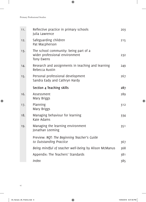1

 $\bigoplus$ 

| 11. | Reflective practice in primary schools<br>Julia Lawrence                                     | 203 |
|-----|----------------------------------------------------------------------------------------------|-----|
| 12. | Safeguarding children<br>Pat Macpherson                                                      | 215 |
| 13. | The school community: being part of a<br>wider professional environment<br><b>Tony Ewens</b> | 232 |
| 14. | Research and assignments in teaching and learning<br>Rebecca Austin                          | 249 |
| 15. | Personal professional development<br>Sandra Eady and Cathryn Hardy                           | 267 |
|     | Section 4 Teaching skills                                                                    | 287 |
| 16. | Assessment<br>Mary Briggs                                                                    | 289 |
| 17. | Planning<br>Mary Briggs                                                                      | 312 |
| 18. | Managing behaviour for learning<br>Kate Adams                                                | 334 |
| 19. | Managing the learning environment<br>Jonathan Leeming                                        | 351 |
|     | Preview: NOT: The Beginning Teacher's Guide<br>to Outstanding Practice                       |     |
|     |                                                                                              | 367 |
|     | Being mindful of teacher well-being by Alison McManus                                        | 368 |
|     | Appendix: The Teachers' Standards                                                            | 381 |
|     | <b>Index</b>                                                                                 | 385 |

 $\bigoplus$ 

 $\overline{\phantom{a}}$ 

 $\bigoplus$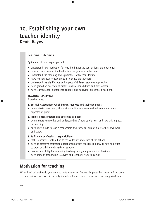## **10. Establishing your own teacher identity Denis Hayes**

#### Learning Outcomes

By the end of this chapter you will:

• understand how motivation for teaching influences your actions and decisions;

⊕

- have a clearer view of the kind of teacher you want to become;
- understand the meaning and significance of teacher identity;
- have learned how to develop as a reflective practitioner;
- understand the significance and impact of different teaching approaches;
- have gained an overview of professional responsibilities and development;
- have learned about appropriate conduct and behaviour on school placement.

#### **TEACHERS' STANDARDS**

A teacher must:

⊕

- **1. Set high expectations which inspire, motivate and challenge pupils**
- demonstrate consistently the positive attitudes, values and behaviour which are expected of pupils.
- **2. Promote good progress and outcomes by pupils**
- demonstrate knowledge and understanding of how pupils learn and how this impacts on teaching
- encourage pupils to take a responsible and conscientious attitude to their own work and study.
- **8. Fulfil wider professional responsibilities**
- make a positive contribution to the wider life and ethos of the school
- develop effective professional relationships with colleagues, knowing how and when to draw on advice and specialist support
- take responsibility for improving teaching through appropriate professional development, responding to advice and feedback from colleagues.

## **Motivation for teaching**

What kind of teacher do you want to be is a question frequently posed by tutors and lecturers to their trainees. Answers invariably include reference to attributes such as being kind, fair

186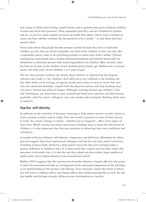and caring; to skills such as being a good listener; and to general aims such as helping children to learn and reach their potential. These aspirations provide a core set of beliefs for teachers and yet, in practice, some teachers are more successful than others, which raises a number of issues, not least whether everyone has the potential to be a teacher – or only those who have natural talent.

⊕

Every study shows that people become primary teachers because they love to work with children; as such, they are almost invariably very fond of the children in their care and, like a responsible parent, want to do everything possible to ensure each child's welfare. Primary teaching has traditionally been a female-orientated profession and teachers historically see themselves as substitute parents with moral responsibility for children. More recently, there has been an increase in the number of men working with primary age children and, to a lesser extent, the early years' sector (children 3 to 5 years of age).

The fact that primary teachers care deeply about children is indicated by the frequent reference they make to 'my' children. Such affection is not confined to the working day but taken home every evening, occupying minds and actions to such an extent that over time the emotional demands, coupled with the physical exertion and long working days, can lead to mental and physical fatigue. Although teaching primary age children is fun and challenging, you must learn to pace yourself and build your expertise and effectiveness gradually, aided by tutors, colleagues, your own studies and constantly thinking about ways to improve.

#### **Teacher self-identity**

⊕

In addition to the centrality of altruistic (wanting to help others) motives on their desire to teach, primary teachers tend to judge their own worth as persons in terms of their success at work. As a result, failings in school – whether real or imagined – affect every aspect of their lives. While teachers are always interested in finding ways to boost the self-esteem of children, it is also important that they pay attention to enhancing their own confidence and *self-identity.*

A number of factors influence self-identity: competence and skill level; affirmation by others; practical support from more experienced colleagues; and last but not least, moral conviction, including religious faith, driven by a deep-seated conviction that your teaching makes a positive difference to children's lives. It is often stated that 'schools exist for kids'; while that statement is obviously true, it is also the case that schools are places where large numbers of adults work, each of whom deserves to be nurtured and valued.

Mullen (2007) suggests that the construction of teacher identity is largely affective (the power to move the emotions) and that an investigation of the emotional components of the job helps in an understanding of the teacher's self-identity. Your emotions control the extent to which you will resist or embrace advice and change affects your professional growth; as such, the way you handle your feelings strongly influences your development as a teacher.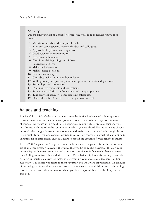#### Activity

Use the following list as a basis for considering what kind of teacher you want to become.

 $\circledast$ 

- 1. Well-informed about the subjects I teach.
- 2. Kind and compassionate towards children and colleagues.
- 3. Approachable, pleasant and responsive.
- 4. Good listener and communicator.
- 5. Keen sense of humour.
- 6. Clear in explaining things to children.
- 7. Patient but decisive.
- 8. Make fair judgements.
- 9. Make sensible decisions.
- 10. Careful time manager.
- 11. Clear about what I want children to learn.
- 12. Willing to respond positively children's genuine interests and questions.
- 13. Team player and cooperative.
- 14. Offer positive comments and suggestions.
- 15. Take account of criticism from others and act appropriately.
- 16. Take every opportunity to encourage my colleagues.
- 17. Now make a list of the characteristics you want to avoid.

## **Values and teaching**

It is helpful to think of education as being grounded in five fundamental values: spiritual, cultural, environmental, aesthetic and political. Each of these values is expressed in terms of your *personal* values with regard to self; your *moral* values with regard to others; and your *social* values with regard to the community in which you are placed. For instance, one of your personal values might be to treat others as you wish to be treated; a moral value might be to listen carefully and respond compassionately to colleagues' concerns; a social value might be to volunteer for an after-school club in a desire to contribute expertise for the benefit of others.

Eaude (2006) argues that 'the person' as a teacher cannot be separated from the person you are at all other times. As a result, the values that you bring to the classroom, through your personality, enthusiasm, emotions and priorities, combine to influence children and affect their feelings of self-worth and desire to learn. The relationship (bond) between you and the children is therefore an essential factor in determining your success as a teacher. Children respond well to adults who relate to them naturally and are always approachable. No amount of posturing and forcefulness on your part will compensate for establishing and maintaining caring relations with the children for whom you have responsibility. See also Chapter 5 in this book.

⊕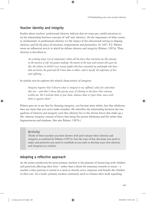#### **Teacher identity and integrity**

Studies about teachers' professional identity indicate that we must pay careful attention to: (a) the relationship between concepts of 'self' and 'identity'; (b) the importance of what counts as 'professional' in professional identity; (c) the impact of the educational setting in shaping identity; and (d) the place of emotions, temperament and personality. In 1997, P.J. Palmer wrote an influential article in which he defines identity and integrity (Palmer, 1997a). Thus, identity is described as:

 $\bigcirc$ 

*An evolving nexus {set of connections} where all the forces that constitute my life converge*  in the mystery of self: my genetic makeup, the nature of the man and woman who gave me *life, the culture in which I was raised, people who have sustained me and people who have done me harm, the good and ill I have done to others, and to myself, the experience of love and suffering ...*

In similar vein he explores the related characteristic of integrity:

Integrity requires that I discern what is integral to my selfhood, what fits and what *does not – and that I choose life-giving ways of relating to the forces that converge within me. Do I welcome them or fear them, embrace them or reject them, move with them or against them?*

Palmer goes on to say that by choosing integrity, you become more whole, but that wholeness does not mean that you never make mistakes. He identifies the relationship between the two qualities of identity and integrity such that identity lies in the diverse forces that make up a life, whereas integrity consists of forces that bring the person wholeness and life rather than fragmentation and deadness. (See also Palmer, 1997b.)

#### Activity

⊕

Think of three teachers you have known well and evaluate their identity and integrity as outlined by Palmer (1997a). List the sorts of key decisions you need to make and priorities you need to establish as you seek to develop your own identity and integrity as a teacher.

#### **Adopting a reflective approach**

As the prime satisfaction for most primary teachers is the pleasure of interacting with children and positively affecting their lives – rather than a desire for monetary rewards or status – a teacher's value position is rooted in a need to cherish, serve, empower and benefit the children in their care. As a result, primary teachers constantly need to evaluate their work regarding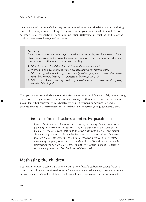Primary Professional Studies

the fundamental purpose of what they are doing as educators and the daily task of translating those beliefs into practical teaching. A key ambition in your professional life should be to become a 'reflective practitioner', both during lessons (reflecting 'in' teaching) and following teaching sessions (reflecting 'on' teaching).

 $\circledast$ 

#### Activity

If you haven't done so already, begin the reflective process by keeping a record of your classroom experiences (for example, assessing how clearly you communicate ideas and instructions to children) under four main headings.

- 1. What I did: e.g. *I explained how children should set out their work.*
- 2. Why I did it: e.g. *I wanted to improve the appearance of their written work.*
- 3. What was good about it: e.g. *I spoke slowly and carefully and answered their queries using child-friendly language. My pedagogical knowledge was good.*
- 4. What could have been improved: e.g. *I need to ensure that every child is paying attention before I speak.*

Your personal values and ideas about priorities in education and life more widely have a strong impact on shaping classroom practice, as you encourage children to respect other viewpoints, speak plainly but courteously, collaborate, weigh up situations, summarise key points, evaluate options and communicate ideas carefully in a supportive (non-judgemental) way.

#### Research Focus: Teachers as reflective practitioners

*Larrivee (2008) reviewed the research on creating a learning climate conducive to facilitating the development of teachers as reflective practitioners and concluded that the process involves a willingness to be an active participant in professional growth. The author argues that the aim of reflective practice is to think critically about one's teaching choices and actions. Consequently, reflective practice involves teachers questioning the goals, values and assumptions that guide their work and entails interrogating the way things are done, the purpose of education and the contexts in which learning takes place. See also Ghaye and Ghaye (1998).*

### **Motivating the children**

Your enthusiasm for a subject is important but is not of itself a sufficiently strong factor to ensure that children are motivated to learn. You also need empathy, compassion, commitment, patience, spontaneity and an ability to make sound judgements to produce what is sometimes

⊕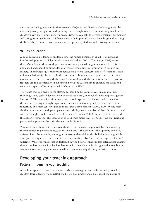described as 'loving relations' in the classroom. O'Quinn and Garrison (2004) argue that by nurturing loving recognition and by being brave enough to take risks in learning to allow for children's own shortcomings and vulnerabilities, you can help to develop a tolerant, harmonious and caring learning climate. Children are not only impressed by your knowledge and teaching skills but also by human qualities such as your patience, kindness and encouraging manner.

 $\circledast$ 

#### **Values education**

A good education is founded on developing the human personality in all its dimensions – intellectual, physical, social, ethical and moral (Sridhar, 2001). Thornberg (2008) argues that *values education* does not depend on following a planned programme of work but is often unplanned and should be embedded in everyday school life. In common with Palmer (see earlier), Thornburg argues that values reflect the personal concerns and preferences that help to frame relationships between children and adults. In other words, your effectiveness as a teacher has as much to do with the heart (emotions) as with the mind (intellect). In practice, teachers use this spontaneity in conjunction with the curriculum to enhance the social and emotional aspects of learning, usually referred to as SEAL.

The values that you bring to the classroom should be the result of careful and informed thinking, as you seek to dovetail your personal morality (inner beliefs) with impartial justice (fair to all). The reason for taking such care is well expressed by Richards when he refers to the teacher as a 'frighteningly significant person whose teaching helps to shape attitudes to learning at a most sensitive period in children's development' (2009, p.20). While most children grow up to develop competent moral skills, a small number of them fail to do so and cultivate a highly sophisticated form of deviance (Rossano, 2008). In the light of this trend, the author recommends the promotion of deliberate moral practice, suggesting that religious participation provides the basic elements to facilitate it.

You must decide how best to inculcate children into behaving appropriately, while resisting the temptation to give the impression that your way is the *only* way – their parents may have different ideas. For example, you might impress on the children that bullying is wrong, while some parents might be telling them to 'stand up for themselves', even at the expense of others' suffering. Whatever you discuss or declare, it pays to be aware that children often repeat at home things they hear you say in school, so be clear with them about what is right and wrong but be cautious about imposing your own morality on them in a way that might invite criticism.

## **Developing your teaching approach**

#### **Factors influencing your teaching**

A teaching approach consists of the methods and strategies that teachers employ to help children learn effectively and reflect the beliefs that practitioners hold about the nature of ⊕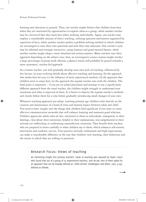learning and education in general. Thus, one teacher might believe that children learn best when they are motivated by opportunities to explore ideas as a group, while another teacher may be convinced that they learn best when working individually. Again, one teacher may employ a considerable amount of direct teaching, utilising question-and-answer supported by repetition of facts, while another teacher prefers a problem-solving method in which children are encouraged to raise their own questions and seek their own solutions. One teacher's style may be informal and strongly interactive, using humour and good-natured banter, while another teacher might adopt a more detached and serious manner. Many teachers vary their approach depending on the subject area; thus, an investigative science session might involve a large percentage of group work whereas a phonics lesson will probably be geared towards a more systematic, teacher-led approach.

⊕

As a trainee teacher, you will gradually develop your own style of teaching, influenced by five factors: (a) your evolving beliefs about effective teaching and learning; (b) the approach that works best for you; (c) the influence of more experienced teachers; (d) the approach that children seem to enjoy best; (e) the approach the regular teacher uses with the children. The final point is important – if you are on school placement and attempt to use a significantly different approach from the usual teacher, the children might struggle to understand your intentions and what is expected of them. It is better to observe the regular teacher's methods and closely follow them for a time before gradually introducing small changes of your own.

Whatever teaching approach you adopt, teaching primary age children relies heavily on the creation and maintenance of a bond of trust and mutual respect between adult and child. You need to have insight into the things that children find significant if you want to create effective communication networks that will enhance learning and maintain good relations. Children appreciate adults who are fair, interested in them as individuals, transparent in their dealings, clear about their intentions, helpful in their explanations, non-judgemental in their attitude yet unflinching in confronting unsatisfactory situations. They benefit from teachers who are prepared to listen carefully to what children say to them, which enhances self-esteem, motivation and academic success. Your positive attitude, enthusiasm and high expectations can make a considerable difference in the way that children view learning, their behaviour and the extent to which they are willing to persevere.

#### Research Focus: Views of teaching

An interesting insight into primary teachers' views of teaching was exposed by Taylor (2002) who found that out of a group of 55 experienced teachers, over 80 per cent of them opted for an approach that can be broadly defined as 'child-centred' (Doddington and Hilton, 2007, p.34), defined as follows.

⊕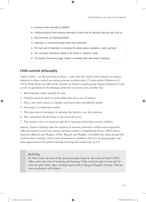- Learning comes naturally to children.
- Children/students learn because they want to learn and not because they are told to do so.

 $\circledast$ 

- Play and work are indistinguishable.
- Learning is a communal activity rather than individual.
- The main aim of teaching is to develop the whole person (academic, social, spiritual).
- The curriculum should be related to the child's or student's needs.
- The teacher should encourage children to develop their own mode of learning.

#### **Child-centred philosophy**

Taylor (2002) – see Research Focus above – notes that the results of his research are almost identical to those carried out among primary teachers some 25 years earlier (Ashton et al., 1975). Only about one-fifth of the teachers in Taylor's sample group aligned themselves with a view encapsulated in the ideology promoted in recent years, notably that:

- 1. Real learning cannot possibly be easy.
- 2. Children must be made to work rather than do so out of interest.
- 3. Play is not work unless it is highly structured and controlled by adults.
- 4. Learning is an individual matter.

⊕

- 5. The main aim of teaching is to develop the intellect, not the emotions.
- 6. The curriculum should relate to the needs of society.
- 7. The teacher's job is to motivate and direct learning rather than involve children.

Instead, Taylor's findings that the majority of teachers preferred a child-centred approach reflected research carried out among aspiring teachers in England by Hayes (2004) and in Australia (Manuel and Hughes, 2006). Manuel and Hughes concluded that many prospective teachers enter teaching 'with a sense of mission to transform the lives of young people and open opportunities for growth through learning and connecting' (p.21).

#### Activity

To what extent do each of the seven principles based on the work of Taylor (2002) reflect your own view of teaching and learning? Take each principle in turn and for each one select from: agree strongly/agree/tend to disagree/disagree strongly. Discuss your conclusions with others.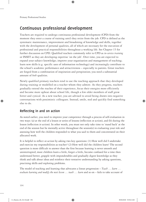## **Continuous professional development**

Teachers are required to undergo continuous professional development (CPD) from the moment they enter a course of training until they retire from the job. CPD is defined as the systematic maintenance, improvement and broadening of knowledge and skills, together with the development of personal qualities, all of which are necessary for the execution of professional and practical responsibilities throughout a working life. See Chapter 15 for further discussion on CPD. Qualified teachers commonly refer to CPD as *in-service training*  or INSET as they are developing expertise 'on the job'. Over time, you are expected to expand your subject knowledge; improve your organisation and management of teaching; learn new skills (e.g. specific uses of information technology) and increasingly contribute to the school's academic performance and attractiveness – especially to parents. Great teachers are forged from a combination of inspiration and perspiration; you need a substantial amount of *both* qualities.

 $\bigcirc$ 

Newly qualified primary teachers tend to use the teaching approach that they developed during training or modelled on a teacher whom they admire. As they progress, teachers gradually extend the reaches of their experience, focus their energies more efficiently and become more upbeat about school life, though a few older members of staff grow bitter and cynical. As a new teacher, you are advised to avoid being drawn into negative conversations with pessimistic colleagues. Instead, smile, nod and quickly find something else to do.

#### **Reflecting in and on action**

As noted earlier, you need to improve your competence through a process of self-evaluation in two ways: (a) at the end of a lesson or series of lessons (reflection *on* action), and (b) during the lesson (reflection *in* action). In other words, you must not only take time to 'stand back' at the end of the session but be mentally active throughout the session(s) in evaluating your role and assessing how well the children responded to what you said to them and concentrated on their allocated work.

It is helpful to reflect *on* action by asking two key questions: (1) How well did I undertake and exercise my responsibilities as teacher? (2) How well did the children learn? The second question is more difficult to answer than the first because learning is never smooth and uninterrupted; most children learn a little, forget a little, become confused for a time then understand better, grapple with imponderables and gradually digest knowledge as they think and talk about ideas and reinforce their tentative understanding by asking questions, practising skills and exploring problems.

The model of teaching and learning that advocates a linear progression – *Teach … learn … evaluate learning and modify the next lesson … teach … learn* and so on – fails to take account of

⊕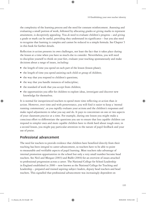the complexity of the learning process and the need for constant reinforcement. Assessing and evaluating a small portion of work, followed by allocating grades or giving marks to represent attainment, is deceptively appealing. You *do* need to evaluate children's progress – and giving a grade or mark can be useful, providing they understand its significance – but you also need to recognise that learning is complex and cannot be reduced to a simple formula. See Chapter 5 in this book for further details.

 $\bigcirc$ 

Reflection *in* action presents its own challenges, not least the fact that it takes place during the lesson at a time when you have so much else to consider. Nevertheless, you will need to discipline yourself to think on your feet, evaluate your teaching spontaneously and make decisions about a range of issues, including:

- the length of time you spend on each part of the lesson (lesson phase);
- the length of time you spend assisting each child or group of children;
- the way that you respond to children's questions;
- the way that you handle instances of indiscipline;
- the standard of work that you accept from children;
- the opportunities you offer for children to explore ideas, investigate and discover new knowledge for themselves.

It is normal for inexperienced teachers to spend more time reflecting *on* action than *in*  action. However, over time and with perseverance, you will find it easier to keep a 'mental running commentary', as you rapidly evaluate your actions and the children's responses and make rapid adjustments to what you say and do. It pays to concentrate on one or two aspects of your classroom practice at a time. For example, during one lesson you might make a conscious effort to differentiate the questions you use to ensure that less capable children can respond to simpler ones and more capable children have to think hard about tough ones; in a second lesson, you might pay particular attention to the nature of pupil feedback and your use of praise.

#### **Professional advancement**

The need for teachers to provide evidence that children have benefited directly from their teaching has been integral to career advancement, so teachers have to be able to point to measurable and verifiable aspects of pupil learning. Most teachers take advantage of internal promotion opportunities in the school but only a very small number become head teachers. See Neil and Morgan (2003) and Bubb (2004) for an overview of issues attached to professional progression across a career. The National College for School Leadership in England established in 2000 – now known as the National College for Teaching and Leadership – prepared and trained aspiring subject leaders, deputy head teachers and head teachers. This signalled that professional advancement was increasingly dependent on

⊕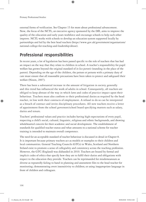external forms of verification. See Chapter 15 for more about professional advancement. Now, the focus of the NCTL, an executive agency sponsored by the DfE, aims to improve the quality of the education and early years workforce and encourage schools to help each other improve. NCTL works with schools to develop an education system supported locally by partnerships and led by the best head teachers (https://www.gov.uk/government/organisations/ national-college-for-teaching-and-leadership/about).

 $\circledast$ 

## **Professional responsibilities**

In recent years, a lot of legislation has been passed specific to the role of teachers that has had an impact on the way that they relate to children in school. A teacher's responsibility for pupil welfare has grown beyond the original standard of *in loco parentis* (standing in the place of the parent). Depending on the age of the children, the person or persons with a primary duty of care must ensure that all reasonable precautions have been taken to protect and safeguard their welfare (Nixon, 2007).

There has been a substantial increase in the amount of litigation in society generally and this trend has influenced the work of adults in school. Consequently, all teachers are obliged to keep abreast of the way in which laws and codes of practice impact upon their behaviour. Teachers must also conform to their professional duties as required by the head teacher, in line with their contracts of employment. A refusal to do so can be interpreted as a breach of contract and invite disciplinary procedures. All new teachers receive a letter of appointment from the school governors/school board specifying matters such as salary, duties and tenure.

Teachers' professional values and practice includes having high expectations of every pupil, respecting a child's social, cultural, linguistic, religious and ethnic backgrounds, and showing wholehearted concern for their academic and social development. The establishment of standards for qualified teacher status and what amounts to a national scheme for teacher training is intended to maintain overall competence.

The need for an acceptable standard of teacher behaviour is discussed in detail in Chapter 8. It is important because primary teachers act as models or examples to their children and local communities. General Teaching Councils (GTCs) in Wales, Scotland and Northern Ireland exist to promote a sense of collegiality and consistency across the teaching profession. However, the GTC (England) was disbanded in 2010. Teachers are bound by formal and implicit codes of ethics that specify how they are to fulfil their duties and obligations with respect to the education they provide. Teachers can be reprimanded for misdemeanours as diverse as repeatedly failing to hand in planning and assessment files to the head teacher for monitoring; demonstrating overt insensitivity to children; or using inappropriate language in front of children and colleagues.

⊕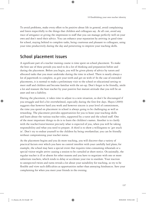To avoid problems, make every effort to be positive about life in general, avoid complaining and listen respectfully to the things that children and colleagues say. At all cost, avoid any trace of arrogance or giving the impression to staff that you can manage perfectly well on your own and don't need their advice. You can enhance your reputation by arriving in good time for school, staying behind to complete tasks, being courteous and pleasant to colleagues, using your time productively during the day and persevering to improve your teaching skills.

⊕

## **School placement issues**

A significant part of a teacher training course is time spent on school placement. To make the best use of these periods you need to do a lot of thinking and preparation before and during the placement. Before you begin, you will be given plenty of advice by tutors and allocated tasks that you must undertake during the time in school. There is nearly always a lot of paperwork to complete, so grit your teeth and get on with it! In the case of extended placements, it is normal to make a preliminary visit to the school or educational setting to meet staff and children and become familiar with the set-up. Don't forget to be friendly, smile a lot and reassure the host teacher by your positive but mature attitude that you will be an asset and not a liability.

During the placement, it takes time to adjust to a new situation, so don't be discouraged if you struggle and feel a bit overwhelmed, especially during the first few days. Hayes (2009) suggests that however hard you work and however sincere is your level of commitment, the time you spend on placement in school is always going to be challenging as well as rewarding. The placement provides opportunities for you to hone your teaching skills and learn about the various teacher roles, supported by a tutor and the school staff. One of the most important things to do is to learn the children's names. Another is to clarify with the teacher/tutor/mentor precisely what is expected of you, when you will be taking responsibility and what you need to prepare. A third is to show a willingness to 'get stuck in'. Don't try to endear yourself to the children by being overfamiliar; you can be friendly without compromising your teacher status.

As the placement begins and you do more teaching, you will discover that a variety of practical factors over which you have no control interfere with your carefully laid plans; for example, the school may have a special event that requires time-consuming rehearsals or a special visitor might arrive causing a session to be curtailed at short notice. Occasionally, the regular teacher is ill or absent for other reasons and you have to negotiate with one or more substitute teachers, which tends to delay or accelerate your rise to stardom. Your reaction to unexpected twists and turns reveals a lot about your suitability for teaching, so try to be flexible and view such difficulties as opportunities rather than annoying hindrances. Save your complaining for when you meet your friends in the evening.

⊕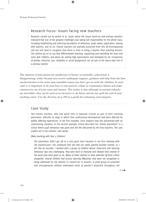#### Research Focus: Issues facing new teachers

 $\bigcirc$ 

Research carried out by Jacklin et al. (2006) about the issues faced by new primary teachers indicated that one of the greatest challenges was taking full responsibility for the whole class, including establishing and enforcing boundaries of behaviour, pupil safety, registration, liaising with parents, and so on. Trainee teachers are partially protected from this all-encompassing role but still need to recognise that there is more to being a teacher than teaching lessons. The authors go on to say that differentiated teaching, supporting and extending the least and most able children, and above all, setting high expectations and standards for all, irrespective of gender, ethnicity, race, disability or social background, are all part of the day-to-day role of a primary teacher.

The majority of placements are satisfactory or better; occasionally a placement is disappointing, either because you receive inadequate support, guidance and help from the host teacher/mentor or for some unaccountable reason you don't get on with the children. In such cases it is important to do your best to stay positive, refuse to countenance failure and make constructive use of your tutor and mentor. The reality is that although occasional setbacks are inevitable, they can be used as an incentive to do better and do not spell the end of your teaching career. Use the Activity on p.200 as a guide for evaluating your progress.

#### Case Study

Two trainee teachers, who had spent time in separate schools as part of their teaching placement, reflected on ways in which their professional development had been affected by widely differing experiences. In the first example, Chris explains how she persevered with an unpromising situation. In the second example, Emma describes her 'dream placement' in a school where pupil behaviour was good and she felt welcomed by the host teachers. The case studies are in the trainees' own words.

**Chris** (working with Year 5 children)

*The placement didn't get off to a very good start because in my first meeting with the teacher/tutor, she confessed that she had not really wanted another trainee, so I felt like an intruder. I worked with a group of children whose classroom and learning behaviour was very challenging. They were hard to motivate and showed little interest in the work they were given to do. Many of them seemed to have switched off from school altogether. Several children had serious learning difficulties that were not recognised or being addressed by the teacher or catered for in lessons. A small group of unsettled and uncooperative children dominated much of teacher's attention throughout the* 

⊕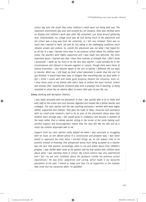*school day with the result that other children's needs were not being well met. The classroom environment was poor and uncared for; for instance, there was minimal work on display and children's work was often left unmarked, just lying around gathering dust. Unfortunately, my college tutor was off sick during much of the placement and the school was a long way from the university, so I felt very isolated. There was so much that I wanted to learn, see and do, but owing to the challenging conditions much remains unseen and undone. So, overall this placement was not what I had hoped for at all but in a way I learned more than in my previous school where the children were lovely, the teachers were highly supportive and I was made very welcome. The most important lesson I learned was that I have inner reserves of strength that I didn't know I* possessed. I made up my mind to be the very best teacher I could possibly be in the *circumstances and refused to become negative or cynical, though there were times of intense frustration. I also became aware of the sort of teacher I definitely did not want to become. Mind you, I still hope my final school placement is easier than the one I've just finished. It would have been easy to imagine that everything was my fault when in fact I think I coped well and made good progress despite the situation. Even so, I envy those some of my friends who didn't have to endure the inner turmoil, strains and stresses that I experienced. Emotions play such a powerful role in teaching, so being unsettled in school has an adverse effect on every other part of your life, too.*

 $\bigoplus$ 

#### **Emma** (working with Reception children)

*I* was really fortunate with my placement in that *I* was quickly able to fit in really well *with staff at the school and soon became regarded and treated like a fellow teacher and colleague. The class teacher and the two teaching assistants I worked with were highly skilled, supportive and cheerful. They gave me loads of ideas, resources and assistance with my small-scale research I had to do as part of the placement about ways that children learn through play. I felt myself grow in confidence and become a member of the team rather than a trainee teacher sitting in the corner of the room! Having such positive support and encouragement meant that the class felt like my own and as a result the children responded well to me.*

*Support from my class teacher really helped me when I was uncertain or struggling with an issue, as she offered advice in a constructive and pleasant way. I was never afraid to approach her even when I mucked things up, as she always tried to be positive instead of moaning. One unexpected bonus from being accepted as a teacher was the fact that parents increasingly came to me and asked about their children's progress. I was thrilled when some of the parents told me how excited their children were about what I was teaching them in school. My school mentor was very experienced and I felt 100 per cent confident about his guidance (unlike my previous school experiences). He was kind, supportive and caring, which made it my favourite placement of the year. I intend to make sure that I'm as supportive to the trainees that come into my classroom when I'm qualified.*

⊕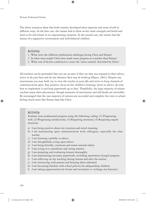Primary Professional Studies

The above instances show that both trainees developed their expertise and sense of self in different ways. In the first case, the trainee had to draw on her inner strength and belief and learn to be self-reliant in an unpromising situation. In the second case, the trainee had the luxury of a supportive environment and well-behaved children.

 $\circledast$ 

#### Activity

- 1. What were the different professional challenges facing Chris and Emma?
- 2. In what ways might Chris have made more progress as a teacher than Emma?
- 3. What sort of factors combined to create the 'inner turmoil' described by Chris?

All teachers can be persuaded that you are an asset if they see that you respond to their advice, strive to do your best and do not threaten their way of working (Hayes, 2003). Despite any reservations you may hold, try to view the teacher as your ally and strive to keep channels of communication open. Stay positive, focus on the children's learning, listen to advice, do your best to implement it and keep paperwork up to date. Thankfully, the large majority of trainee teachers enjoy their placements, though moments of uncertainty and self-doubt are inevitable. Be encouraged that the vast majority of trainees are successful and complete the time in school feeling much more like Emma than like Chris.

#### Activity

⊕

Evaluate your professional progress using the following coding: (1) Progressing well, (2) Progressing satisfactorily, (3) Requiring attention, (4) Requiring urgent attention.

- a) I am being positive about my situation and avoid moaning.
- b) I am maintaining open communication with colleagues, especially the class teacher.
- c) I am listening carefully to advice.
- d) I am thoughtfully acting upon advice.
- e) I am being friendly, courteous and warm towards others.
- f) I am acting in a considerate and caring manner.
- g) I am preparing and evaluating lessons thoroughly.
- h) I am maintaining necessary paperwork, including assessment of pupil progress.
- i) I am reflecting on my teaching during lessons and after the session.
- j) I am interacting with parents and keeping them informed.
- k) I am becoming familiar with school policies for safeguarding children.
- l) I am taking opportunities for leisure and recreation to 'recharge my batteries'.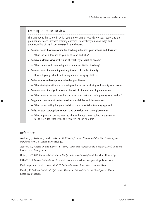#### Learning Outcomes Review

Thinking about the school in which you are working or recently worked, respond to the prompts after each intended learning outcome, to identify your knowledge and understanding of the issues covered in the chapter.

 $\bigcirc$ 

- **To understand how motivation for teaching influences your actions and decisions:** 
	- − What sort of a teacher do you want to be and why?
- **To have a clearer view of the kind of teacher you want to become:**
	- − What values and personal qualities are essential for teaching?
- **To understand the meaning and significance of teacher identity:**

− How will you go about motivating and encouraging children?

- **To learn how to develop as a reflective practitioner:**
	- − What strategies will you use to safeguard your own wellbeing and identity as a person?
- **To understand the significance and impact of different teaching approaches:**
	- − What forms of evidence will you use to show that you are improving as a teacher?
- **To gain an overview of professional responsibilities and development:**
	- − What factors will guide your decisions about a suitable teaching approach?
- **To learn about appropriate conduct and behaviour on school placement:**
	- − What impression do you want to give while you are on school placement to (a) the regular teacher (b) the children (c) the parents?

#### References

⊕

Arthur, J., Davison, J. and Lewis, M. (2005) *Professional Values and Practice: Achieving the standards for QTS.* London: Routledge.

Ashton, P., Kneen, P. and Davies, F. (1975) *Aims into Practice in the Primary School.* London: Hodder and Stoughton.

Bubb, S. (2004) *The Insider's Guide to Early Professional Development.* London: Routledge.

DfE (2011) *Teachers' Standards.* Available from www.education.gov.uk/publications

Doddington, C. and Hilton, M. (2007) *Child-Centred Education.* London: Sage.

Eaude, T. (2006) *Children's Spiritual, Moral, Social and Cultural Development.* Exeter: Learning Matters.